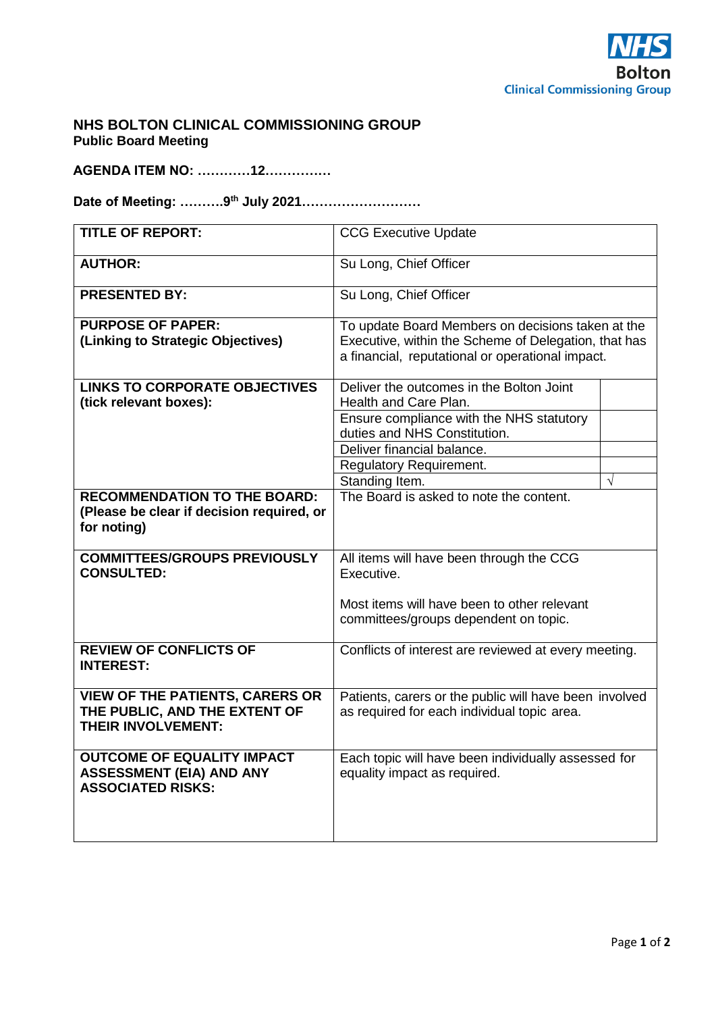

## **NHS BOLTON CLINICAL COMMISSIONING GROUP Public Board Meeting**

**AGENDA ITEM NO: …………12……………**

**Date of Meeting: ……….9th July 2021………………………**

| <b>TITLE OF REPORT:</b>                                  | <b>CCG Executive Update</b>                            |                                                      |  |
|----------------------------------------------------------|--------------------------------------------------------|------------------------------------------------------|--|
| <b>AUTHOR:</b>                                           | Su Long, Chief Officer                                 |                                                      |  |
| <b>PRESENTED BY:</b>                                     | Su Long, Chief Officer                                 |                                                      |  |
| <b>PURPOSE OF PAPER:</b>                                 | To update Board Members on decisions taken at the      |                                                      |  |
| (Linking to Strategic Objectives)                        |                                                        | Executive, within the Scheme of Delegation, that has |  |
|                                                          | a financial, reputational or operational impact.       |                                                      |  |
| <b>LINKS TO CORPORATE OBJECTIVES</b>                     | Deliver the outcomes in the Bolton Joint               |                                                      |  |
| (tick relevant boxes):                                   | Health and Care Plan.                                  |                                                      |  |
|                                                          | Ensure compliance with the NHS statutory               |                                                      |  |
|                                                          | duties and NHS Constitution.                           |                                                      |  |
|                                                          | Deliver financial balance.                             |                                                      |  |
|                                                          | <b>Regulatory Requirement.</b>                         |                                                      |  |
|                                                          | Standing Item.                                         | $\sqrt{ }$                                           |  |
| <b>RECOMMENDATION TO THE BOARD:</b>                      | The Board is asked to note the content.                |                                                      |  |
| (Please be clear if decision required, or                |                                                        |                                                      |  |
| for noting)                                              |                                                        |                                                      |  |
|                                                          |                                                        |                                                      |  |
| <b>COMMITTEES/GROUPS PREVIOUSLY</b><br><b>CONSULTED:</b> | All items will have been through the CCG<br>Executive. |                                                      |  |
|                                                          |                                                        |                                                      |  |
|                                                          | Most items will have been to other relevant            |                                                      |  |
|                                                          | committees/groups dependent on topic.                  |                                                      |  |
|                                                          |                                                        |                                                      |  |
| <b>REVIEW OF CONFLICTS OF</b>                            | Conflicts of interest are reviewed at every meeting.   |                                                      |  |
| <b>INTEREST:</b>                                         |                                                        |                                                      |  |
|                                                          |                                                        |                                                      |  |
| <b>VIEW OF THE PATIENTS, CARERS OR</b>                   | Patients, carers or the public will have been involved |                                                      |  |
| THE PUBLIC, AND THE EXTENT OF                            | as required for each individual topic area.            |                                                      |  |
| <b>THEIR INVOLVEMENT:</b>                                |                                                        |                                                      |  |
| <b>OUTCOME OF EQUALITY IMPACT</b>                        | Each topic will have been individually assessed for    |                                                      |  |
| <b>ASSESSMENT (EIA) AND ANY</b>                          | equality impact as required.                           |                                                      |  |
| <b>ASSOCIATED RISKS:</b>                                 |                                                        |                                                      |  |
|                                                          |                                                        |                                                      |  |
|                                                          |                                                        |                                                      |  |
|                                                          |                                                        |                                                      |  |